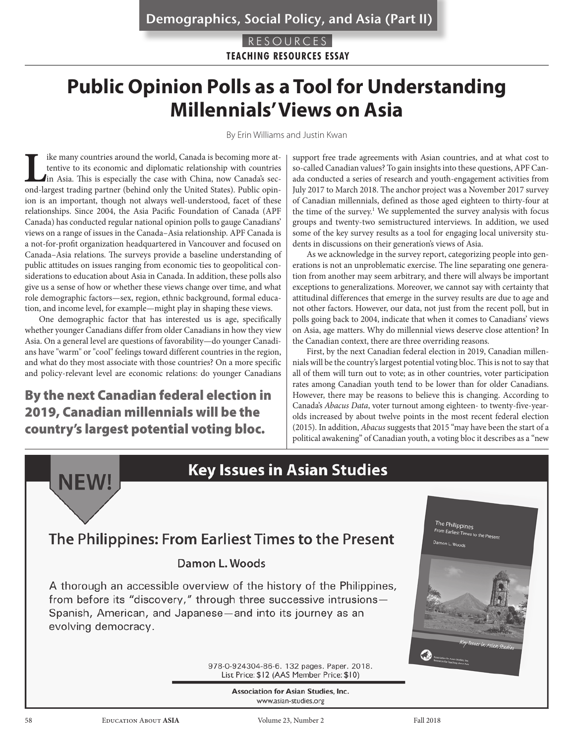RESOURCES **TEACHING RESOURCES ESSAY**

# **Public Opinion Polls as a Tool for Understanding Millennials' Views on Asia**

By Erin Williams and Justin Kwan

In the many countries around the world, Canada is becoming more attentive to its economic and diplomatic relationship with countries<br>in Asia. This is especially the case with China, now Canada's sec-<br>ond-largest trading pa tentive to its economic and diplomatic relationship with countries in Asia. This is especially the case with China, now Canada's second-largest trading partner (behind only the United States). Public opinion is an important, though not always well-understood, facet of these relationships. Since 2004, the Asia Pacific Foundation of Canada (APF Canada) has conducted regular national opinion polls to gauge Canadians' views on a range of issues in the Canada–Asia relationship. APF Canada is a not-for-profit organization headquartered in Vancouver and focused on Canada–Asia relations. The surveys provide a baseline understanding of public attitudes on issues ranging from economic ties to geopolitical considerations to education about Asia in Canada. In addition, these polls also give us a sense of how or whether these views change over time, and what role demographic factors—sex, region, ethnic background, formal education, and income level, for example—might play in shaping these views.

One demographic factor that has interested us is age, specifically whether younger Canadians differ from older Canadians in how they view Asia. On a general level are questions of favorability—do younger Canadians have "warm" or "cool" feelings toward different countries in the region, and what do they most associate with those countries? On a more specific and policy-relevant level are economic relations: do younger Canadians

# By the next Canadian federal election in 2019, Canadian millennials will be the country's largest potential voting bloc.

support free trade agreements with Asian countries, and at what cost to so-called Canadian values? To gain insights into these questions, APF Canada conducted a series of research and youth-engagement activities from July 2017 to March 2018. The anchor project was a November 2017 survey of Canadian millennials, defined as those aged eighteen to thirty-four at the time of the survey.<sup>1</sup> We supplemented the survey analysis with focus groups and twenty-two semistructured interviews. In addition, we used some of the key survey results as a tool for engaging local university students in discussions on their generation's views of Asia.

As we acknowledge in the survey report, categorizing people into generations is not an unproblematic exercise. The line separating one generation from another may seem arbitrary, and there will always be important exceptions to generalizations. Moreover, we cannot say with certainty that attitudinal differences that emerge in the survey results are due to age and not other factors. However, our data, not just from the recent poll, but in polls going back to 2004, indicate that when it comes to Canadians' views on Asia, age matters. Why do millennial views deserve close attention? In the Canadian context, there are three overriding reasons.

First, by the next Canadian federal election in 2019, Canadian millennials will be the country's largest potential voting bloc. This is not to say that all of them will turn out to vote; as in other countries, voter participation rates among Canadian youth tend to be lower than for older Canadians. However, there may be reasons to believe this is changing. According to Canada's *Abacus Data*, voter turnout among eighteen- to twenty-five-yearolds increased by about twelve points in the most recent federal election (2015). In addition, *Abacus* suggests that 2015 "may have been the start of a political awakening" of Canadian youth, a voting bloc it describes as a "new



58 Education About **ASIA** Volume 23, Number 2 Fall 2018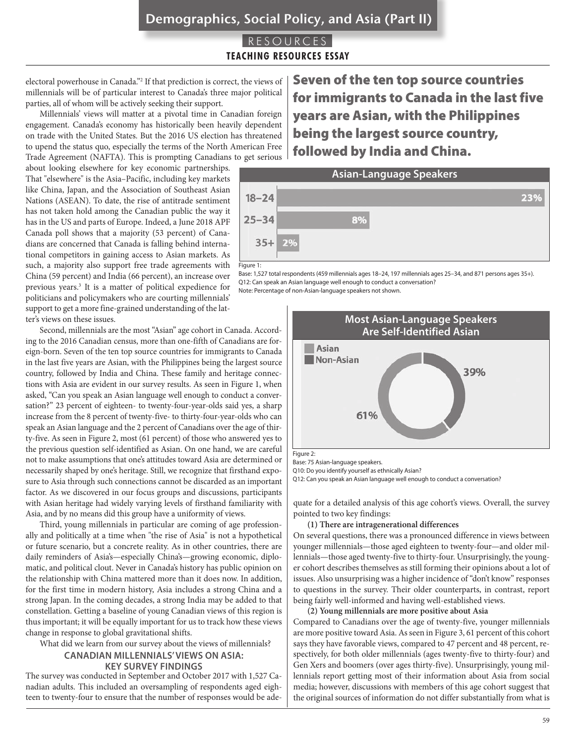# Demographics, Social Policy, and Asia (Part II)

### RESOURCES **TEACHING RESOURCES ESSAY**

electoral powerhouse in Canada."2 If that prediction is correct, the views of millennials will be of particular interest to Canada's three major political parties, all of whom will be actively seeking their support.

Millennials' views will matter at a pivotal time in Canadian foreign engagement. Canada's economy has historically been heavily dependent on trade with the United States. But the 2016 US election has threatened to upend the status quo, especially the terms of the North American Free Trade Agreement (NAFTA). This is prompting Canadians to get serious

about looking elsewhere for key economic partnerships. That "elsewhere" is the Asia–Pacific, including key markets like China, Japan, and the Association of Southeast Asian Nations (ASEAN). To date, the rise of antitrade sentiment has not taken hold among the Canadian public the way it has in the US and parts of Europe. Indeed, a June 2018 APF Canada poll shows that a majority (53 percent) of Canadians are concerned that Canada is falling behind international competitors in gaining access to Asian markets. As such, a majority also support free trade agreements with China (59 percent) and India (66 percent), an increase over previous years.<sup>3</sup> It is a matter of political expedience for politicians and policymakers who are courting millennials' support to get a more fine-grained understanding of the latter's views on these issues.

Second, millennials are the most "Asian" age cohort in Canada. According to the 2016 Canadian census, more than one-fifth of Canadians are foreign-born. Seven of the ten top source countries for immigrants to Canada in the last five years are Asian, with the Philippines being the largest source country, followed by India and China. These family and heritage connections with Asia are evident in our survey results. As seen in Figure 1, when asked, "Can you speak an Asian language well enough to conduct a conversation?" 23 percent of eighteen- to twenty-four-year-olds said yes, a sharp increase from the 8 percent of twenty-five- to thirty-four-year-olds who can speak an Asian language and the 2 percent of Canadians over the age of thirty-five. As seen in Figure 2, most (61 percent) of those who answered yes to the previous question self-identified as Asian. On one hand, we are careful not to make assumptions that one's attitudes toward Asia are determined or necessarily shaped by one's heritage. Still, we recognize that firsthand exposure to Asia through such connections cannot be discarded as an important factor. As we discovered in our focus groups and discussions, participants with Asian heritage had widely varying levels of firsthand familiarity with Asia, and by no means did this group have a uniformity of views.

Third, young millennials in particular are coming of age professionally and politically at a time when "the rise of Asia" is not a hypothetical or future scenario, but a concrete reality. As in other countries, there are daily reminders of Asia's—especially China's—growing economic, diplomatic, and political clout. Never in Canada's history has public opinion on the relationship with China mattered more than it does now. In addition, for the first time in modern history, Asia includes a strong China and a strong Japan. In the coming decades, a strong India may be added to that constellation. Getting a baseline of young Canadian views of this region is thus important; it will be equally important for us to track how these views change in response to global gravitational shifts.

What did we learn from our survey about the views of millennials?

### **CANADIAN MILLENNIALS' VIEWS ON ASIA: KEY SURVEY FINDINGS**

The survey was conducted in September and October 2017 with 1,527 Canadian adults. This included an oversampling of respondents aged eighteen to twenty-four to ensure that the number of responses would be ade-

Seven of the ten top source countries for immigrants to Canada in the last five years are Asian, with the Philippines being the largest source country, followed by India and China.



Base: 1,527 total respondents (459 millennials ages 18–24, 197 millennials ages 25–34, and 871 persons ages 35+). Q12: Can speak an Asian language well enough to conduct a conversation?

Note: Percentage of non-Asian-language speakers not shown.



Figure 2:

Base: 75 Asian-language speakers.

Q10: Do you identify yourself as ethnically Asian?

Q12: Can you speak an Asian language well enough to conduct a conversation?

quate for a detailed analysis of this age cohort's views. Overall, the survey pointed to two key findings:

#### **(1) There are intragenerational differences**

On several questions, there was a pronounced difference in views between younger millennials—those aged eighteen to twenty-four—and older millennials—those aged twenty-five to thirty-four. Unsurprisingly, the younger cohort describes themselves as still forming their opinions about a lot of issues. Also unsurprising was a higher incidence of "don't know" responses to questions in the survey. Their older counterparts, in contrast, report being fairly well-informed and having well-established views.

**(2) Young millennials are more positive about Asia** Compared to Canadians over the age of twenty-five, younger millennials are more positive toward Asia. As seen in Figure 3, 61 percent of this cohort says they have favorable views, compared to 47 percent and 48 percent, respectively, for both older millennials (ages twenty-five to thirty-four) and Gen Xers and boomers (over ages thirty-five). Unsurprisingly, young millennials report getting most of their information about Asia from social media; however, discussions with members of this age cohort suggest that the original sources of information do not differ substantially from what is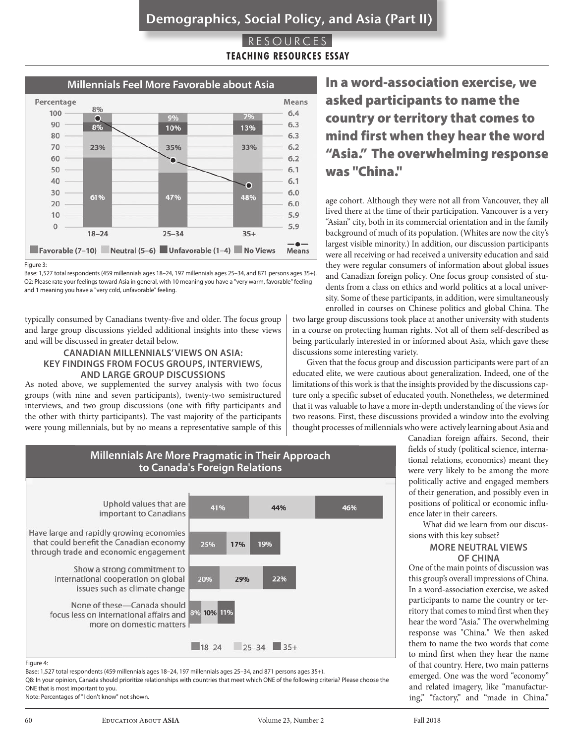### RESOURCES **TEACHING RESOURCES ESSAY**



Figure 3:

typically consumed by Canadians twenty-five and older. The focus group and large group discussions yielded additional insights into these views and will be discussed in greater detail below.

### **CANADIAN MILLENNIALS' VIEWS ON ASIA: KEY FINDINGS FROM FOCUS GROUPS, INTERVIEWS, AND LARGE GROUP DISCUSSIONS**

As noted above, we supplemented the survey analysis with two focus groups (with nine and seven participants), twenty-two semistructured interviews, and two group discussions (one with fifty participants and the other with thirty participants). The vast majority of the participants were young millennials, but by no means a representative sample of this asked participants to name the country or territory that comes to mind first when they hear the word "Asia." The overwhelming response was "China."

age cohort. Although they were not all from Vancouver, they all lived there at the time of their participation. Vancouver is a very "Asian" city, both in its commercial orientation and in the family background of much of its population. (Whites are now the city's largest visible minority.) In addition, our discussion participants were all receiving or had received a university education and said they were regular consumers of information about global issues and Canadian foreign policy. One focus group consisted of students from a class on ethics and world politics at a local university. Some of these participants, in addition, were simultaneously enrolled in courses on Chinese politics and global China. The

two large group discussions took place at another university with students in a course on protecting human rights. Not all of them self-described as being particularly interested in or informed about Asia, which gave these discussions some interesting variety.

Given that the focus group and discussion participants were part of an educated elite, we were cautious about generalization. Indeed, one of the limitations of this work is that the insights provided by the discussions capture only a specific subset of educated youth. Nonetheless, we determined that it was valuable to have a more in-depth understanding of the views for two reasons. First, these discussions provided a window into the evolving thought processes of millennials who were actively learning about Asia and



Canadian foreign affairs. Second, their fields of study (political science, international relations, economics) meant they were very likely to be among the more politically active and engaged members of their generation, and possibly even in positions of political or economic influence later in their careers.

What did we learn from our discussions with this key subset?

### **MORE NEUTRAL VIEWS OF CHINA**

One of the main points of discussion was this group's overall impressions of China. In a word-association exercise, we asked participants to name the country or territory that comes to mind first when they hear the word "Asia." The overwhelming response was "China." We then asked them to name the two words that come to mind first when they hear the name of that country. Here, two main patterns emerged. One was the word "economy" and related imagery, like "manufacturing," "factory," and "made in China."

### Figure 4:

Base: 1,527 total respondents (459 millennials ages 18–24, 197 millennials ages 25–34, and 871 persons ages 35+).

Q8: In your opinion, Canada should prioritize relationships with countries that meet which ONE of the following criteria? Please choose the ONE that is most important to you.

Note: Percentages of "I don't know" not shown.

Base: 1,527 total respondents (459 millennials ages 18–24, 197 millennials ages 25–34, and 871 persons ages 35+). Q2: Please rate your feelings toward Asia in general, with 10 meaning you have a "very warm, favorable" feeling and 1 meaning you have a "very cold, unfavorable" feeling.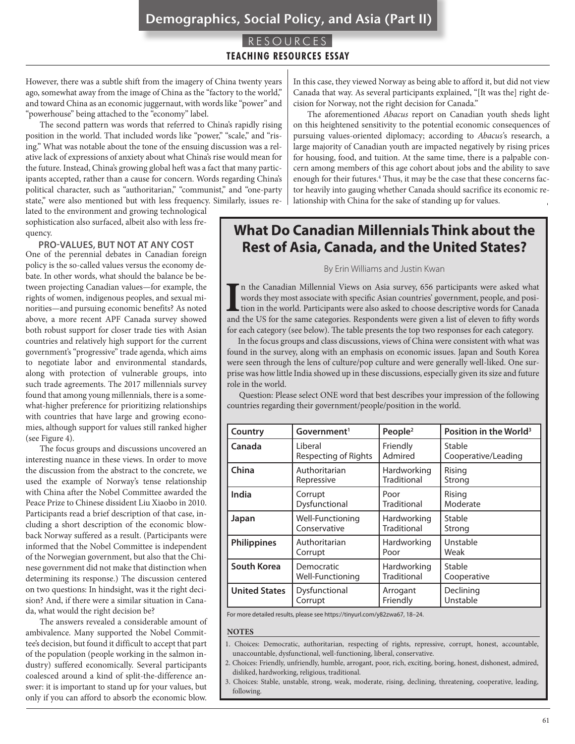### Demographics, Social Policy, and Asia (Part II)

### RESOURCES **TEACHING RESOURCES ESSAY**

However, there was a subtle shift from the imagery of China twenty years ago, somewhat away from the image of China as the "factory to the world," and toward China as an economic juggernaut, with words like "power" and "powerhouse" being attached to the "economy" label.

The second pattern was words that referred to China's rapidly rising position in the world. That included words like "power," "scale," and "rising." What was notable about the tone of the ensuing discussion was a relative lack of expressions of anxiety about what China's rise would mean for the future. Instead, China's growing global heft was a fact that many participants accepted, rather than a cause for concern. Words regarding China's political character, such as "authoritarian," "communist," and "one-party state," were also mentioned but with less frequency. Similarly, issues re-

lated to the environment and growing technological sophistication also surfaced, albeit also with less frequency.

### **PRO-VALUES, BUT NOT AT ANY COST**

One of the perennial debates in Canadian foreign policy is the so-called values versus the economy debate. In other words, what should the balance be between projecting Canadian values—for example, the rights of women, indigenous peoples, and sexual minorities—and pursuing economic benefits? As noted above, a more recent APF Canada survey showed both robust support for closer trade ties with Asian countries and relatively high support for the current government's "progressive" trade agenda, which aims to negotiate labor and environmental standards, along with protection of vulnerable groups, into such trade agreements. The 2017 millennials survey found that among young millennials, there is a somewhat-higher preference for prioritizing relationships with countries that have large and growing economies, although support for values still ranked higher (see Figure 4).

The focus groups and discussions uncovered an interesting nuance in these views. In order to move the discussion from the abstract to the concrete, we used the example of Norway's tense relationship with China after the Nobel Committee awarded the Peace Prize to Chinese dissident Liu Xiaobo in 2010. Participants read a brief description of that case, including a short description of the economic blowback Norway suffered as a result. (Participants were informed that the Nobel Committee is independent of the Norwegian government, but also that the Chinese government did not make that distinction when determining its response.) The discussion centered on two questions: In hindsight, was it the right decision? And, if there were a similar situation in Canada, what would the right decision be?

The answers revealed a considerable amount of ambivalence. Many supported the Nobel Committee's decision, but found it difficult to accept that part of the population (people working in the salmon industry) suffered economically. Several participants coalesced around a kind of split-the-difference answer: it is important to stand up for your values, but only if you can afford to absorb the economic blow.

In this case, they viewed Norway as being able to afford it, but did not view Canada that way. As several participants explained, "[It was the] right decision for Norway, not the right decision for Canada."

The aforementioned *Abacus* report on Canadian youth sheds light on this heightened sensitivity to the potential economic consequences of pursuing values-oriented diplomacy; according to *Abacus'*s research, a large majority of Canadian youth are impacted negatively by rising prices for housing, food, and tuition. At the same time, there is a palpable concern among members of this age cohort about jobs and the ability to save enough for their futures.<sup>4</sup> Thus, it may be the case that these concerns factor heavily into gauging whether Canada should sacrifice its economic relationship with China for the sake of standing up for values.

## **What Do Canadian Millennials Think about the Rest of Asia, Canada, and the United States?**

#### By Erin Williams and Justin Kwan

II in the Canadian Millennial Views on Asia survey, 656 participants were asked what words they most associate with specific Asian countries' government, people, and position in the world. Participants were also asked to c n the Canadian Millennial Views on Asia survey, 656 participants were asked what words they most associate with specific Asian countries' government, people, and position in the world. Participants were also asked to choose descriptive words for Canada for each category (see below). The table presents the top two responses for each category.

 In the focus groups and class discussions, views of China were consistent with what was found in the survey, along with an emphasis on economic issues. Japan and South Korea were seen through the lens of culture/pop culture and were generally well-liked. One surprise was how little India showed up in these discussions, especially given its size and future role in the world.

 Question: Please select ONE word that best describes your impression of the following countries regarding their government/people/position in the world.

| Country              | Government <sup>1</sup>     | People <sup>2</sup> | Position in the World <sup>3</sup> |
|----------------------|-----------------------------|---------------------|------------------------------------|
| Canada               | <b>Liberal</b>              | Friendly            | Stable                             |
|                      | <b>Respecting of Rights</b> | Admired             | Cooperative/Leading                |
| China                | Authoritarian               | Hardworking         | Rising                             |
|                      | Repressive                  | Traditional         | Strong                             |
| India                | Corrupt                     | Poor                | Rising                             |
|                      | Dysfunctional               | Traditional         | Moderate                           |
| Japan                | Well-Functioning            | Hardworking         | Stable                             |
|                      | Conservative                | Traditional         | Strong                             |
| <b>Philippines</b>   | Authoritarian               | Hardworking         | Unstable                           |
|                      | Corrupt                     | Poor                | Weak                               |
| South Korea          | Democratic                  | Hardworking         | Stable                             |
|                      | Well-Functioning            | Traditional         | Cooperative                        |
| <b>United States</b> | Dysfunctional               | Arrogant            | Declining                          |
|                      | Corrupt                     | Friendly            | Unstable                           |

For more detailed results, please see https://tinyurl.com/y82zwa67, 18–24.

#### **NOTES**

- 1. Choices: Democratic, authoritarian, respecting of rights, repressive, corrupt, honest, accountable, unaccountable, dysfunctional, well-functioning, liberal, conservative.
- 2. Choices: Friendly, unfriendly, humble, arrogant, poor, rich, exciting, boring, honest, dishonest, admired, disliked, hardworking, religious, traditional.
- 3. Choices: Stable, unstable, strong, weak, moderate, rising, declining, threatening, cooperative, leading, following.